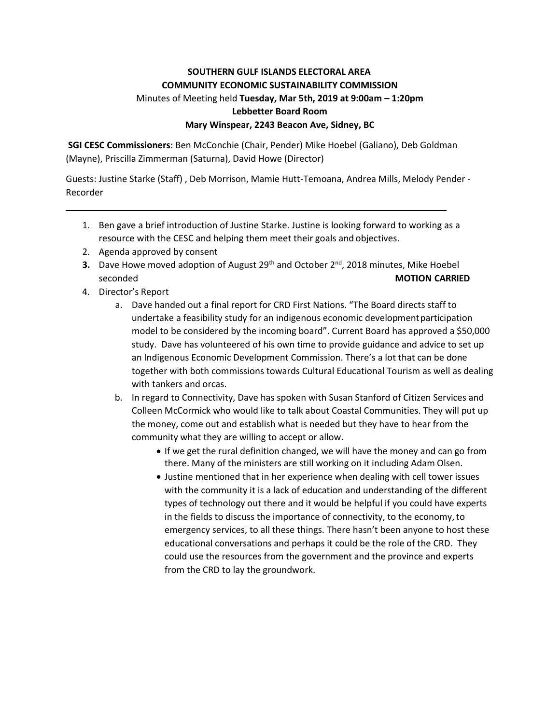# **SOUTHERN GULF ISLANDS ELECTORAL AREA COMMUNITY ECONOMIC SUSTAINABILITY COMMISSION** Minutes of Meeting held **Tuesday, Mar 5th, 2019 at 9:00am – 1:20pm Lebbetter Board Room Mary Winspear, 2243 Beacon Ave, Sidney, BC**

**SGI CESC Commissioners**: Ben McConchie (Chair, Pender) Mike Hoebel (Galiano), Deb Goldman (Mayne), Priscilla Zimmerman (Saturna), David Howe (Director)

Guests: Justine Starke (Staff) , Deb Morrison, Mamie Hutt-Temoana, Andrea Mills, Melody Pender - Recorder

- 1. Ben gave a brief introduction of Justine Starke. Justine is looking forward to working as a resource with the CESC and helping them meet their goals and objectives.
- 2. Agenda approved by consent
- **3.** Dave Howe moved adoption of August 29<sup>th</sup> and October 2<sup>nd</sup>, 2018 minutes, Mike Hoebel seconded **MOTION CARRIED**
- 4. Director's Report
	- a. Dave handed out a final report for CRD First Nations. "The Board directs staff to undertake a feasibility study for an indigenous economic developmentparticipation model to be considered by the incoming board". Current Board has approved a \$50,000 study. Dave has volunteered of his own time to provide guidance and advice to set up an Indigenous Economic Development Commission. There's a lot that can be done together with both commissions towards Cultural Educational Tourism as well as dealing with tankers and orcas.
	- b. In regard to Connectivity, Dave has spoken with Susan Stanford of Citizen Services and Colleen McCormick who would like to talk about Coastal Communities. They will put up the money, come out and establish what is needed but they have to hear from the community what they are willing to accept or allow.
		- If we get the rural definition changed, we will have the money and can go from there. Many of the ministers are still working on it including Adam Olsen.
		- Justine mentioned that in her experience when dealing with cell tower issues with the community it is a lack of education and understanding of the different types of technology out there and it would be helpful if you could have experts in the fields to discuss the importance of connectivity, to the economy, to emergency services, to all these things. There hasn't been anyone to host these educational conversations and perhaps it could be the role of the CRD. They could use the resources from the government and the province and experts from the CRD to lay the groundwork.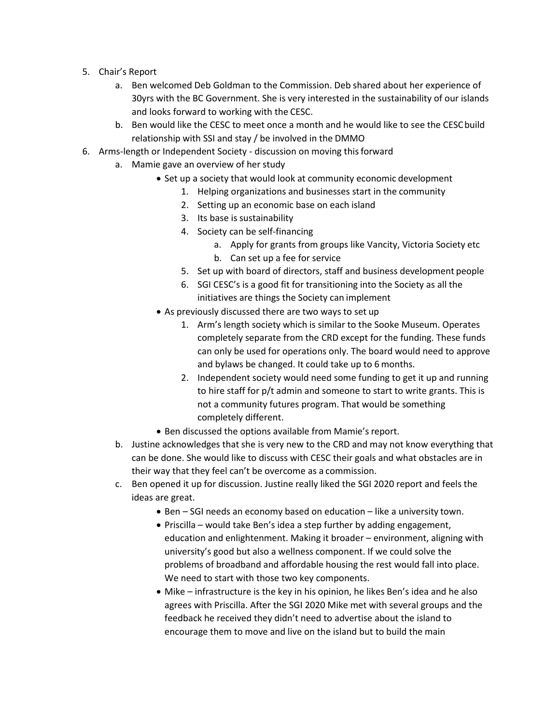- 5. Chair's Report
	- a. Ben welcomed Deb Goldman to the Commission. Deb shared about her experience of 30yrs with the BC Government. She is very interested in the sustainability of our islands and looks forward to working with the CESC.
	- b. Ben would like the CESC to meet once a month and he would like to see the CESCbuild relationship with SSI and stay / be involved in the DMMO
- 6. Arms-length or Independent Society discussion on moving thisforward
	- a. Mamie gave an overview of her study
		- Set up a society that would look at community economic development
			- 1. Helping organizations and businesses start in the community
			- 2. Setting up an economic base on each island
			- 3. Its base is sustainability
			- 4. Society can be self-financing
				- a. Apply for grants from groups like Vancity, Victoria Society etc
				- b. Can set up a fee for service
			- 5. Set up with board of directors, staff and business development people
			- 6. SGI CESC's is a good fit for transitioning into the Society as all the initiatives are things the Society can implement
		- As previously discussed there are two ways to set up
			- 1. Arm's length society which is similar to the Sooke Museum. Operates completely separate from the CRD except for the funding. These funds can only be used for operations only. The board would need to approve and bylaws be changed. It could take up to 6 months.
			- 2. Independent society would need some funding to get it up and running to hire staff for p/t admin and someone to start to write grants. This is not a community futures program. That would be something completely different.
		- Ben discussed the options available from Mamie's report.
	- b. Justine acknowledges that she is very new to the CRD and may not know everything that can be done. She would like to discuss with CESC their goals and what obstacles are in their way that they feel can't be overcome as a commission.
	- c. Ben opened it up for discussion. Justine really liked the SGI 2020 report and feels the ideas are great.
		- Ben SGI needs an economy based on education like a university town.
		- Priscilla would take Ben's idea a step further by adding engagement, education and enlightenment. Making it broader – environment, aligning with university's good but also a wellness component. If we could solve the problems of broadband and affordable housing the rest would fall into place. We need to start with those two key components.
		- Mike infrastructure is the key in his opinion, he likes Ben's idea and he also agrees with Priscilla. After the SGI 2020 Mike met with several groups and the feedback he received they didn't need to advertise about the island to encourage them to move and live on the island but to build the main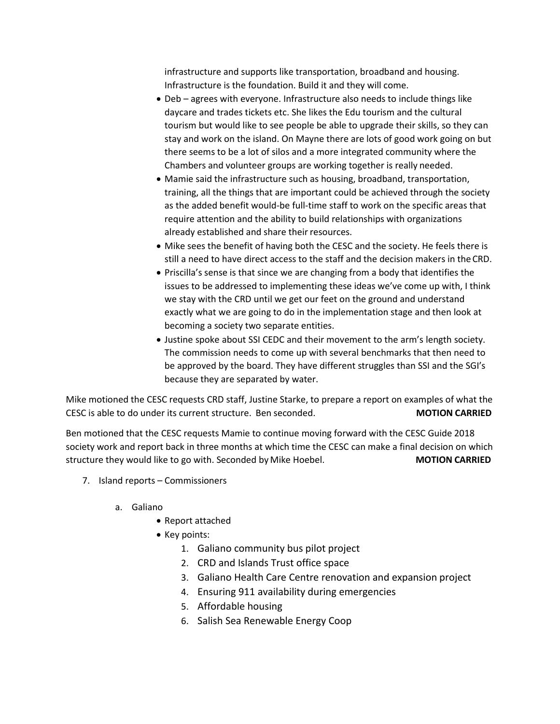infrastructure and supports like transportation, broadband and housing. Infrastructure is the foundation. Build it and they will come.

- Deb agrees with everyone. Infrastructure also needs to include things like daycare and trades tickets etc. She likes the Edu tourism and the cultural tourism but would like to see people be able to upgrade their skills, so they can stay and work on the island. On Mayne there are lots of good work going on but there seems to be a lot of silos and a more integrated community where the Chambers and volunteer groups are working together is really needed.
- Mamie said the infrastructure such as housing, broadband, transportation, training, all the things that are important could be achieved through the society as the added benefit would-be full-time staff to work on the specific areas that require attention and the ability to build relationships with organizations already established and share their resources.
- Mike sees the benefit of having both the CESC and the society. He feels there is still a need to have direct access to the staff and the decision makers in the CRD.
- Priscilla's sense is that since we are changing from a body that identifies the issues to be addressed to implementing these ideas we've come up with, I think we stay with the CRD until we get our feet on the ground and understand exactly what we are going to do in the implementation stage and then look at becoming a society two separate entities.
- Justine spoke about SSI CEDC and their movement to the arm's length society. The commission needs to come up with several benchmarks that then need to be approved by the board. They have different struggles than SSI and the SGI's because they are separated by water.

Mike motioned the CESC requests CRD staff, Justine Starke, to prepare a report on examples of what the CESC is able to do under its current structure. Ben seconded. **MOTION CARRIED**

Ben motioned that the CESC requests Mamie to continue moving forward with the CESC Guide 2018 society work and report back in three months at which time the CESC can make a final decision on which structure they would like to go with. Seconded by Mike Hoebel. **MOTION CARRIED**

- 7. Island reports Commissioners
	- a. Galiano
		- Report attached
		- Key points:
			- 1. Galiano community bus pilot project
			- 2. CRD and Islands Trust office space
			- 3. Galiano Health Care Centre renovation and expansion project
			- 4. Ensuring 911 availability during emergencies
			- 5. Affordable housing
			- 6. Salish Sea Renewable Energy Coop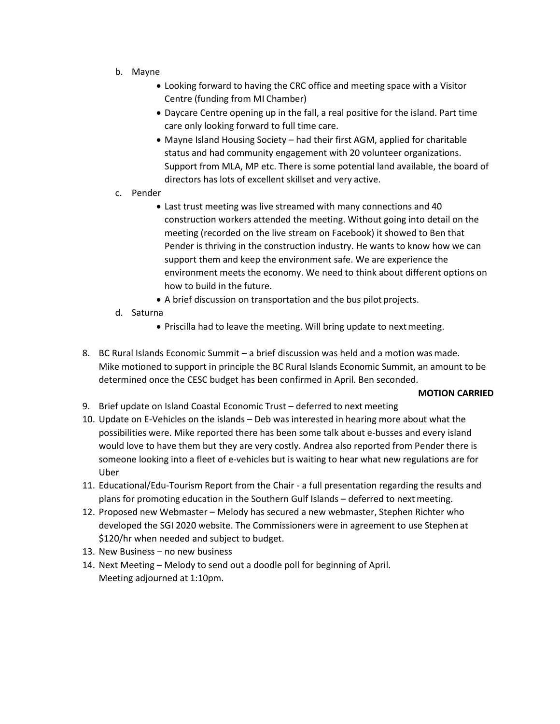- b. Mayne
	- Looking forward to having the CRC office and meeting space with a Visitor Centre (funding from MI Chamber)
	- Daycare Centre opening up in the fall, a real positive for the island. Part time care only looking forward to full time care.
	- Mayne Island Housing Society had their first AGM, applied for charitable status and had community engagement with 20 volunteer organizations. Support from MLA, MP etc. There is some potential land available, the board of directors has lots of excellent skillset and very active.
- c. Pender
	- Last trust meeting was live streamed with many connections and 40 construction workers attended the meeting. Without going into detail on the meeting (recorded on the live stream on Facebook) it showed to Ben that Pender is thriving in the construction industry. He wants to know how we can support them and keep the environment safe. We are experience the environment meets the economy. We need to think about different options on how to build in the future.
	- A brief discussion on transportation and the bus pilot projects.
- d. Saturna
	- Priscilla had to leave the meeting. Will bring update to nextmeeting.
- 8. BC Rural Islands Economic Summit a brief discussion was held and a motion wasmade. Mike motioned to support in principle the BC Rural Islands Economic Summit, an amount to be determined once the CESC budget has been confirmed in April. Ben seconded.

# **MOTION CARRIED**

- 9. Brief update on Island Coastal Economic Trust deferred to next meeting
- 10. Update on E-Vehicles on the islands Deb was interested in hearing more about what the possibilities were. Mike reported there has been some talk about e-busses and every island would love to have them but they are very costly. Andrea also reported from Pender there is someone looking into a fleet of e-vehicles but is waiting to hear what new regulations are for Uber
- 11. Educational/Edu-Tourism Report from the Chair a full presentation regarding the results and plans for promoting education in the Southern Gulf Islands – deferred to nextmeeting.
- 12. Proposed new Webmaster Melody has secured a new webmaster, Stephen Richter who developed the SGI 2020 website. The Commissioners were in agreement to use Stephen at \$120/hr when needed and subject to budget.
- 13. New Business no new business
- 14. Next Meeting Melody to send out a doodle poll for beginning of April. Meeting adjourned at 1:10pm.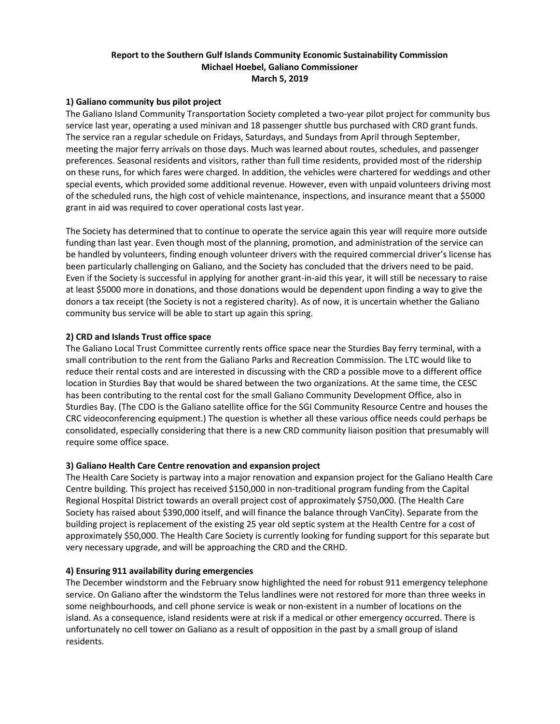# **Report to the Southern Gulf Islands Community Economic Sustainability Commission Michael Hoebel, Galiano Commissioner March 5, 2019**

## **1) Galiano community bus pilot project**

The Galiano Island Community Transportation Society completed a two-year pilot project for community bus service last year, operating a used minivan and 18 passenger shuttle bus purchased with CRD grant funds. The service ran a regular schedule on Fridays, Saturdays, and Sundays from April through September, meeting the major ferry arrivals on those days. Much was learned about routes, schedules, and passenger preferences. Seasonal residents and visitors, rather than full time residents, provided most of the ridership on these runs, for which fares were charged. In addition, the vehicles were chartered for weddings and other special events, which provided some additional revenue. However, even with unpaid volunteers driving most of the scheduled runs, the high cost of vehicle maintenance, inspections, and insurance meant that a \$5000 grant in aid was required to cover operational costs last year.

The Society has determined that to continue to operate the service again this year will require more outside funding than last year. Even though most of the planning, promotion, and administration of the service can be handled by volunteers, finding enough volunteer drivers with the required commercial driver's license has been particularly challenging on Galiano, and the Society has concluded that the drivers need to be paid. Even if the Society is successful in applying for another grant-in-aid this year, it will still be necessary to raise at least \$5000 more in donations, and those donations would be dependent upon finding a way to give the donors a tax receipt (the Society is not a registered charity). As of now, it is uncertain whether the Galiano community bus service will be able to start up again this spring.

#### **2) CRD and Islands Trust office space**

The Galiano Local Trust Committee currently rents office space near the Sturdies Bay ferry terminal, with a small contribution to the rent from the Galiano Parks and Recreation Commission. The LTC would like to reduce their rental costs and are interested in discussing with the CRD a possible move to a different office location in Sturdies Bay that would be shared between the two organizations. At the same time, the CESC has been contributing to the rental cost for the small Galiano Community Development Office, also in Sturdies Bay. (The CDO is the Galiano satellite office for the SGI Community Resource Centre and houses the CRC videoconferencing equipment.) The question is whether all these various office needs could perhaps be consolidated, especially considering that there is a new CRD community liaison position that presumably will require some office space.

#### **3) Galiano Health Care Centre renovation and expansion project**

The Health Care Society is partway into a major renovation and expansion project for the Galiano Health Care Centre building. This project has received \$150,000 in non-traditional program funding from the Capital Regional Hospital District towards an overall project cost of approximately \$750,000. (The Health Care Society has raised about \$390,000 itself, and will finance the balance through VanCity). Separate from the building project is replacement of the existing 25 year old septic system at the Health Centre for a cost of approximately \$50,000. The Health Care Society is currently looking for funding support for this separate but very necessary upgrade, and will be approaching the CRD and the CRHD.

#### **4) Ensuring 911 availability during emergencies**

The December windstorm and the February snow highlighted the need for robust 911 emergency telephone service. On Galiano after the windstorm the Telus landlines were not restored for more than three weeks in some neighbourhoods, and cell phone service is weak or non-existent in a number of locations on the island. As a consequence, island residents were at risk if a medical or other emergency occurred. There is unfortunately no cell tower on Galiano as a result of opposition in the past by a small group of island residents.